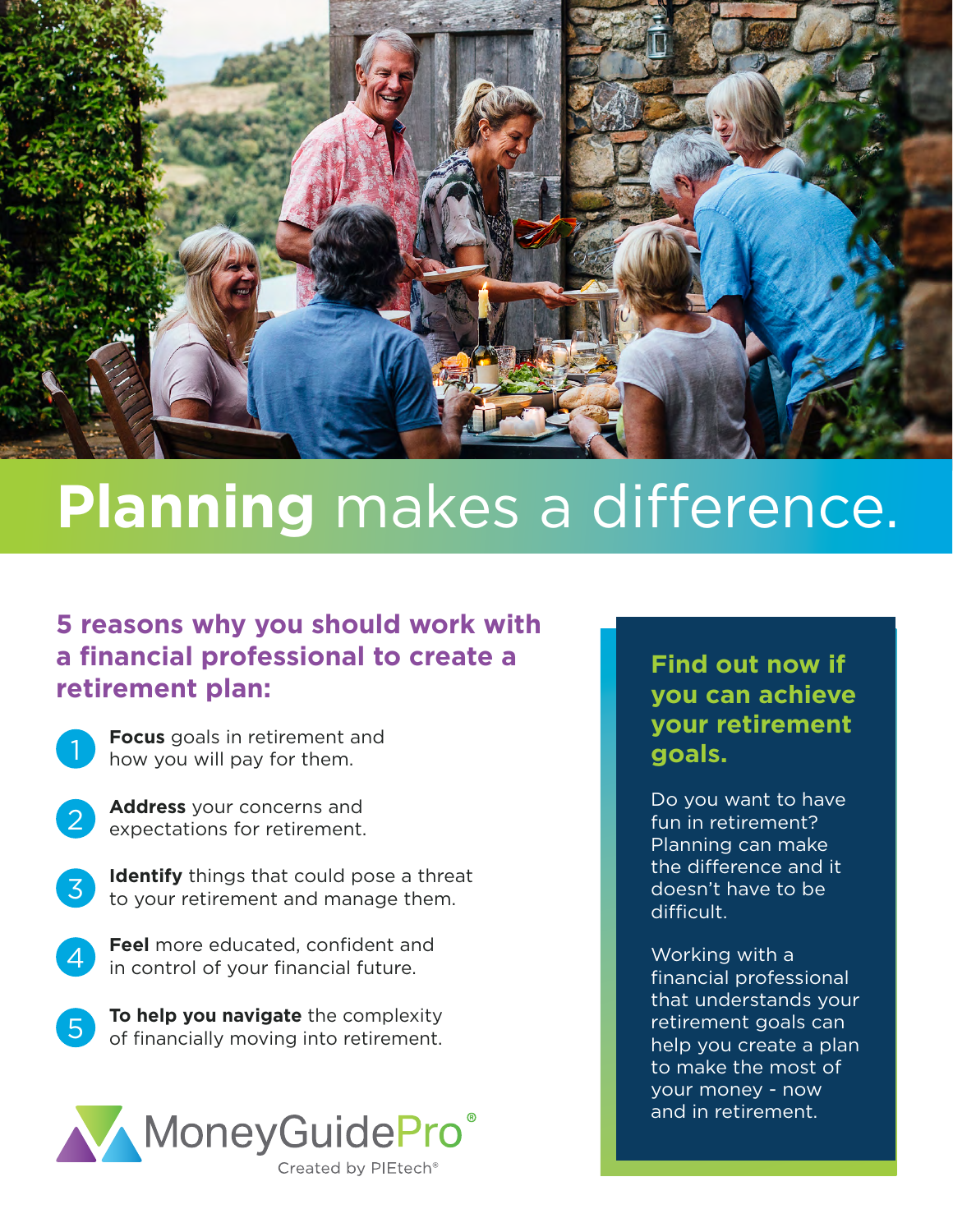

## **Planning** makes a difference.

## **5 reasons why you should work with a financial professional to create a retirement plan:**

**Focus** goals in retirement and how you will pay for them.

- **Address** your concerns and expectations for retirement.
- 

**Identify** things that could pose a threat to your retirement and manage them.

- **Feel** more educated, confident and in control of your financial future.
- **To help you navigate** the complexity of financially moving into retirement.



## **Find out now if you can achieve your retirement goals.**

Do you want to have fun in retirement? Planning can make the difference and it doesn't have to be difficult.

Working with a financial professional that understands your retirement goals can help you create a plan to make the most of your money - now and in retirement.